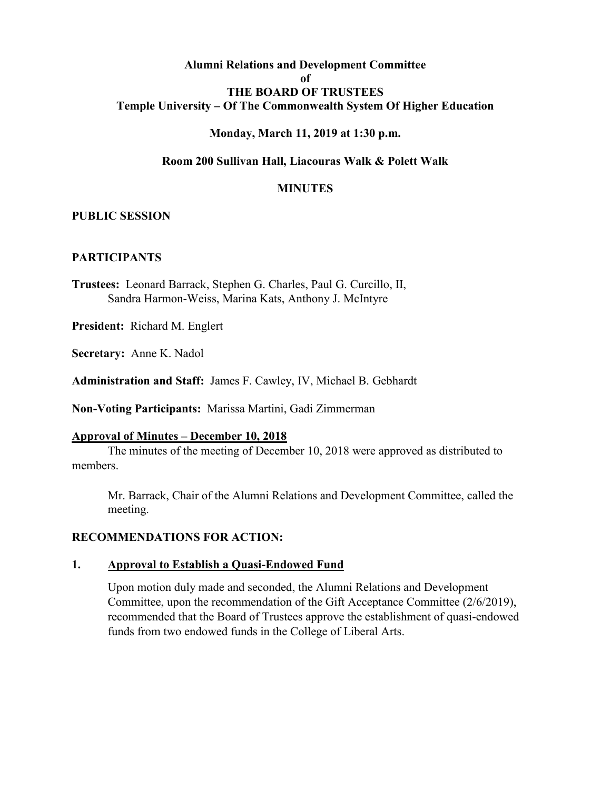### **Alumni Relations and Development Committee of THE BOARD OF TRUSTEES Temple University – Of The Commonwealth System Of Higher Education**

### **Monday, March 11, 2019 at 1:30 p.m.**

#### **Room 200 Sullivan Hall, Liacouras Walk & Polett Walk**

#### **MINUTES**

#### **PUBLIC SESSION**

#### **PARTICIPANTS**

**Trustees:** Leonard Barrack, Stephen G. Charles, Paul G. Curcillo, II, Sandra Harmon-Weiss, Marina Kats, Anthony J. McIntyre

**President:** Richard M. Englert

**Secretary:** Anne K. Nadol

**Administration and Staff:** James F. Cawley, IV, Michael B. Gebhardt

**Non-Voting Participants:** Marissa Martini, Gadi Zimmerman

#### **Approval of Minutes – December 10, 2018**

The minutes of the meeting of December 10, 2018 were approved as distributed to members.

Mr. Barrack, Chair of the Alumni Relations and Development Committee, called the meeting.

### **RECOMMENDATIONS FOR ACTION:**

#### **1. Approval to Establish a Quasi-Endowed Fund**

Upon motion duly made and seconded, the Alumni Relations and Development Committee, upon the recommendation of the Gift Acceptance Committee (2/6/2019), recommended that the Board of Trustees approve the establishment of quasi-endowed funds from two endowed funds in the College of Liberal Arts.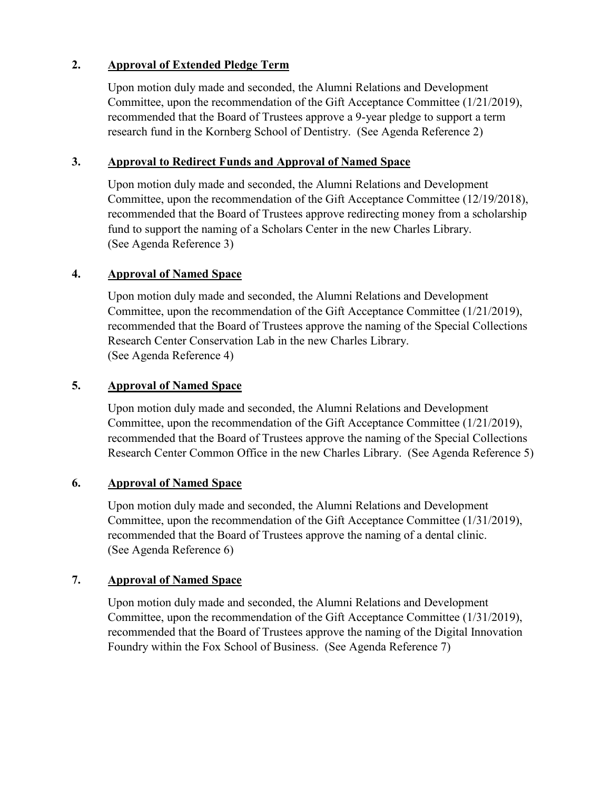## **2. Approval of Extended Pledge Term**

Upon motion duly made and seconded, the Alumni Relations and Development Committee, upon the recommendation of the Gift Acceptance Committee (1/21/2019), recommended that the Board of Trustees approve a 9-year pledge to support a term research fund in the Kornberg School of Dentistry. (See Agenda Reference 2)

## **3. Approval to Redirect Funds and Approval of Named Space**

Upon motion duly made and seconded, the Alumni Relations and Development Committee, upon the recommendation of the Gift Acceptance Committee (12/19/2018), recommended that the Board of Trustees approve redirecting money from a scholarship fund to support the naming of a Scholars Center in the new Charles Library. (See Agenda Reference 3)

# **4. Approval of Named Space**

Upon motion duly made and seconded, the Alumni Relations and Development Committee, upon the recommendation of the Gift Acceptance Committee (1/21/2019), recommended that the Board of Trustees approve the naming of the Special Collections Research Center Conservation Lab in the new Charles Library. (See Agenda Reference 4)

# **5. Approval of Named Space**

Upon motion duly made and seconded, the Alumni Relations and Development Committee, upon the recommendation of the Gift Acceptance Committee (1/21/2019), recommended that the Board of Trustees approve the naming of the Special Collections Research Center Common Office in the new Charles Library. (See Agenda Reference 5)

## **6. Approval of Named Space**

Upon motion duly made and seconded, the Alumni Relations and Development Committee, upon the recommendation of the Gift Acceptance Committee (1/31/2019), recommended that the Board of Trustees approve the naming of a dental clinic. (See Agenda Reference 6)

# **7. Approval of Named Space**

Upon motion duly made and seconded, the Alumni Relations and Development Committee, upon the recommendation of the Gift Acceptance Committee (1/31/2019), recommended that the Board of Trustees approve the naming of the Digital Innovation Foundry within the Fox School of Business. (See Agenda Reference 7)